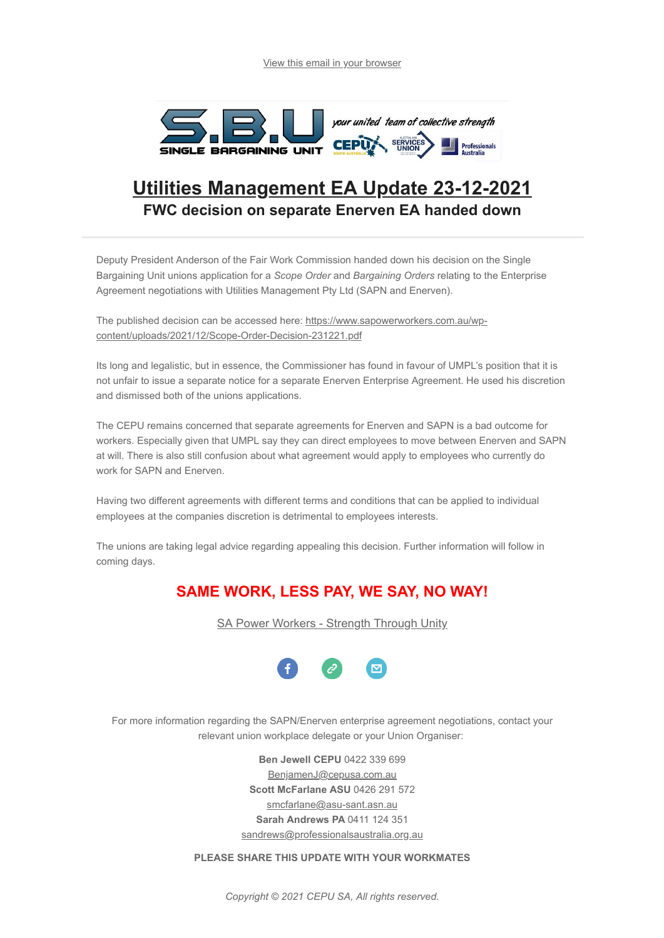

## **Utilities Management EA Update 23-12-2021 FWC decision on separate Enerven EA handed down**

Deputy President Anderson of the Fair Work Commission handed down his decision on the Single Bargaining Unit unions application for a *Scope Order* and *Bargaining Orders* relating to the Enterprise Agreement negotiations with Utilities Management Pty Ltd (SAPN and Enerven).

[The published decision can be accessed here: https://www.sapowerworkers.com.au/wp](https://www.sapowerworkers.com.au/wp-content/uploads/2021/12/Scope-Order-Decision-231221.pdf)content/uploads/2021/12/Scope-Order-Decision-231221.pdf

Its long and legalistic, but in essence, the Commissioner has found in favour of UMPL's position that it is not unfair to issue a separate notice for a separate Enerven Enterprise Agreement. He used his discretion and dismissed both of the unions applications.

The CEPU remains concerned that separate agreements for Enerven and SAPN is a bad outcome for workers. Especially given that UMPL say they can direct employees to move between Enerven and SAPN at will. There is also still confusion about what agreement would apply to employees who currently do work for SAPN and Enerven.

Having two different agreements with different terms and conditions that can be applied to individual employees at the companies discretion is detrimental to employees interests.

The unions are taking legal advice regarding appealing this decision. Further information will follow in coming days.

## **SAME WORK, LESS PAY, WE SAY, NO WAY!**

[SA Power Workers - Strength Through Unity](https://www.sapowerworkers.com.au/)



For more information regarding the SAPN/Enerven enterprise agreement negotiations, contact your relevant union workplace delegate or your Union Organiser:

> **Ben Jewell CEPU** 0422 339 699 [BenjamenJ@cepusa.com.au](mailto:BenjamenJ@cepusa.com.au) **Scott McFarlane ASU** 0426 291 572 [smcfarlane@asu-sant.asn.au](mailto:smcfarlane@asu-sant.asn.au) **Sarah Andrews PA** 0411 124 351 [sandrews@professionalsaustralia.org.au](mailto:sandrews@professionalsaustralia.org.au)

**PLEASE SHARE THIS UPDATE WITH YOUR WORKMATES**

*Copyright © 2021 CEPU SA, All rights reserved.*